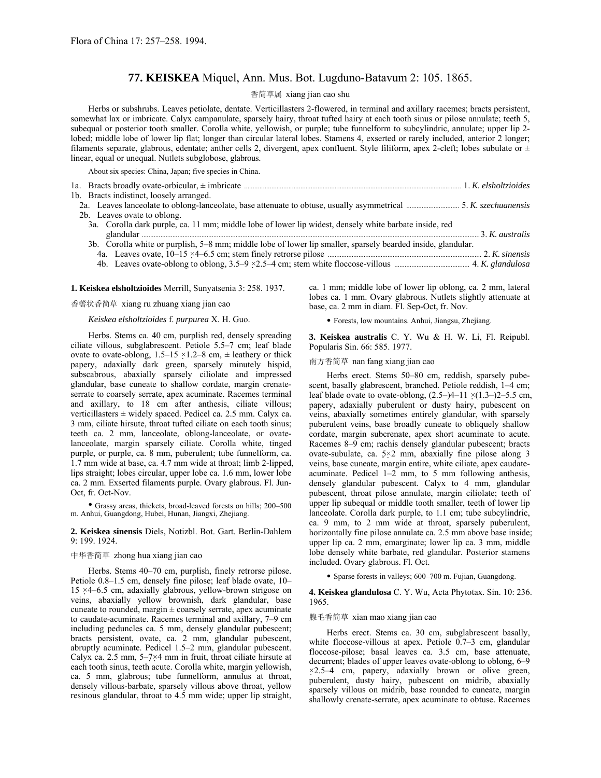# **77. KEISKEA** Miquel, Ann. Mus. Bot. Lugduno-Batavum 2: 105. 1865.

# 香简草属 xiang jian cao shu

Herbs or subshrubs. Leaves petiolate, dentate. Verticillasters 2-flowered, in terminal and axillary racemes; bracts persistent, somewhat lax or imbricate. Calyx campanulate, sparsely hairy, throat tufted hairy at each tooth sinus or pilose annulate; teeth 5, subequal or posterior tooth smaller. Corolla white, yellowish, or purple; tube funnelform to subcylindric, annulate; upper lip 2 lobed; middle lobe of lower lip flat; longer than circular lateral lobes. Stamens 4, exserted or rarely included, anterior 2 longer; filaments separate, glabrous, edentate; anther cells 2, divergent, apex confluent. Style filiform, apex 2-cleft; lobes subulate or  $\pm$ linear, equal or unequal. Nutlets subglobose, glabrous.

About six species: China, Japan; five species in China.

| 1b. Bracts indistinct, loosely arranged.                                                                                            |  |
|-------------------------------------------------------------------------------------------------------------------------------------|--|
| 2a. Leaves lanceolate to oblong-lanceolate, base attenuate to obtuse, usually asymmetrical <i>manumanonical</i> 5. K. szechuanensis |  |
| 2b. Leaves ovate to oblong.                                                                                                         |  |
| 3a. Corolla dark purple, ca. 11 mm; middle lobe of lower lip widest, densely white barbate inside, red                              |  |
|                                                                                                                                     |  |
| 3b. Corolla white or purplish, 5–8 mm; middle lobe of lower lip smaller, sparsely bearded inside, glandular.                        |  |
|                                                                                                                                     |  |
|                                                                                                                                     |  |

4b. Leaves ovate-oblong to oblong, 3.5ñ9 ×2.5ñ4 cm; stem white floccose-villous ............................................ 4. *K. glandulosa*

# **1. Keiskea elsholtzioides** Merrill, Sunyatsenia 3: 258. 1937.

### 香薷状香简草 xiang ru zhuang xiang jian cao

# *Keiskea elsholtzioides* f. *purpurea* X. H. Guo.

Herbs. Stems ca. 40 cm, purplish red, densely spreading ciliate villous, subglabrescent. Petiole 5.5–7 cm; leaf blade ovate to ovate-oblong,  $1.5-15 \times 1.2-8$  cm,  $\pm$  leathery or thick papery, adaxially dark green, sparsely minutely hispid, subscabrous, abaxially sparsely ciliolate and impressed glandular, base cuneate to shallow cordate, margin crenateserrate to coarsely serrate, apex acuminate. Racemes terminal and axillary, to 18 cm after anthesis, ciliate villous; verticillasters  $\pm$  widely spaced. Pedicel ca. 2.5 mm. Calyx ca. 3 mm, ciliate hirsute, throat tufted ciliate on each tooth sinus; teeth ca. 2 mm, lanceolate, oblong-lanceolate, or ovatelanceolate, margin sparsely ciliate. Corolla white, tinged purple, or purple, ca. 8 mm, puberulent; tube funnelform, ca. 1.7 mm wide at base, ca. 4.7 mm wide at throat; limb 2-lipped, lips straight; lobes circular, upper lobe ca. 1.6 mm, lower lobe ca. 2 mm. Exserted filaments purple. Ovary glabrous. Fl. Jun-Oct, fr. Oct-Nov.

• Grassy areas, thickets, broad-leaved forests on hills; 200-500 m. Anhui, Guangdong, Hubei, Hunan, Jiangxi, Zhejiang.

#### **2. Keiskea sinensis** Diels, Notizbl. Bot. Gart. Berlin-Dahlem 9: 199. 1924.

### 中华香简草 zhong hua xiang jian cao

Herbs. Stems 40–70 cm, purplish, finely retrorse pilose. Petiole 0.8–1.5 cm, densely fine pilose; leaf blade ovate, 10– 15  $\times$ 4-6.5 cm, adaxially glabrous, yellow-brown strigose on veins, abaxially yellow brownish, dark glandular, base cuneate to rounded, margin  $\pm$  coarsely serrate, apex acuminate to caudate-acuminate. Racemes terminal and axillary, 7-9 cm including peduncles ca. 5 mm, densely glandular pubescent; bracts persistent, ovate, ca. 2 mm, glandular pubescent, abruptly acuminate. Pedicel 1.5–2 mm, glandular pubescent. Calyx ca. 2.5 mm,  $5-7\times4$  mm in fruit, throat ciliate hirsute at each tooth sinus, teeth acute. Corolla white, margin yellowish, ca. 5 mm, glabrous; tube funnelform, annulus at throat, densely villous-barbate, sparsely villous above throat, yellow resinous glandular, throat to 4.5 mm wide; upper lip straight,

ca. 1 mm; middle lobe of lower lip oblong, ca. 2 mm, lateral lobes ca. 1 mm. Ovary glabrous. Nutlets slightly attenuate at base, ca. 2 mm in diam. Fl. Sep-Oct, fr. Nov.

• Forests, low mountains. Anhui, Jiangsu, Zhejiang.

**3. Keiskea australis** C. Y. Wu & H. W. Li, Fl. Reipubl. Popularis Sin. 66: 585. 1977.

# 南方香简草 nan fang xiang jian cao

Herbs erect. Stems 50–80 cm, reddish, sparsely pubescent, basally glabrescent, branched. Petiole reddish, 1-4 cm; leaf blade ovate to ovate-oblong,  $(2.5–)4–11 \times (1.3–)2–5.5$  cm, papery, adaxially puberulent or dusty hairy, pubescent on veins, abaxially sometimes entirely glandular, with sparsely puberulent veins, base broadly cuneate to obliquely shallow cordate, margin subcrenate, apex short acuminate to acute. Racemes  $8-9$  cm; rachis densely glandular pubescent; bracts ovate-subulate, ca. 5×2 mm, abaxially fine pilose along 3 veins, base cuneate, margin entire, white ciliate, apex caudateacuminate. Pedicel  $1-2$  mm, to 5 mm following anthesis, densely glandular pubescent. Calyx to 4 mm, glandular pubescent, throat pilose annulate, margin ciliolate; teeth of upper lip subequal or middle tooth smaller, teeth of lower lip lanceolate. Corolla dark purple, to 1.1 cm; tube subcylindric, ca. 9 mm, to 2 mm wide at throat, sparsely puberulent, horizontally fine pilose annulate ca. 2.5 mm above base inside; upper lip ca. 2 mm, emarginate; lower lip ca. 3 mm, middle lobe densely white barbate, red glandular. Posterior stamens included. Ovary glabrous. Fl. Oct.

• Sparse forests in valleys; 600–700 m. Fujian, Guangdong.

**4. Keiskea glandulosa** C. Y. Wu, Acta Phytotax. Sin. 10: 236. 1965.

#### 腺毛香简草 xian mao xiang jian cao

Herbs erect. Stems ca. 30 cm, subglabrescent basally, white floccose-villous at apex. Petiole  $0.7-3$  cm, glandular floccose-pilose; basal leaves ca. 3.5 cm, base attenuate, decurrent; blades of upper leaves ovate-oblong to oblong, 6–9  $\times$ 2.5–4 cm, papery, adaxially brown or olive green, puberulent, dusty hairy, pubescent on midrib, abaxially sparsely villous on midrib, base rounded to cuneate, margin shallowly crenate-serrate, apex acuminate to obtuse. Racemes